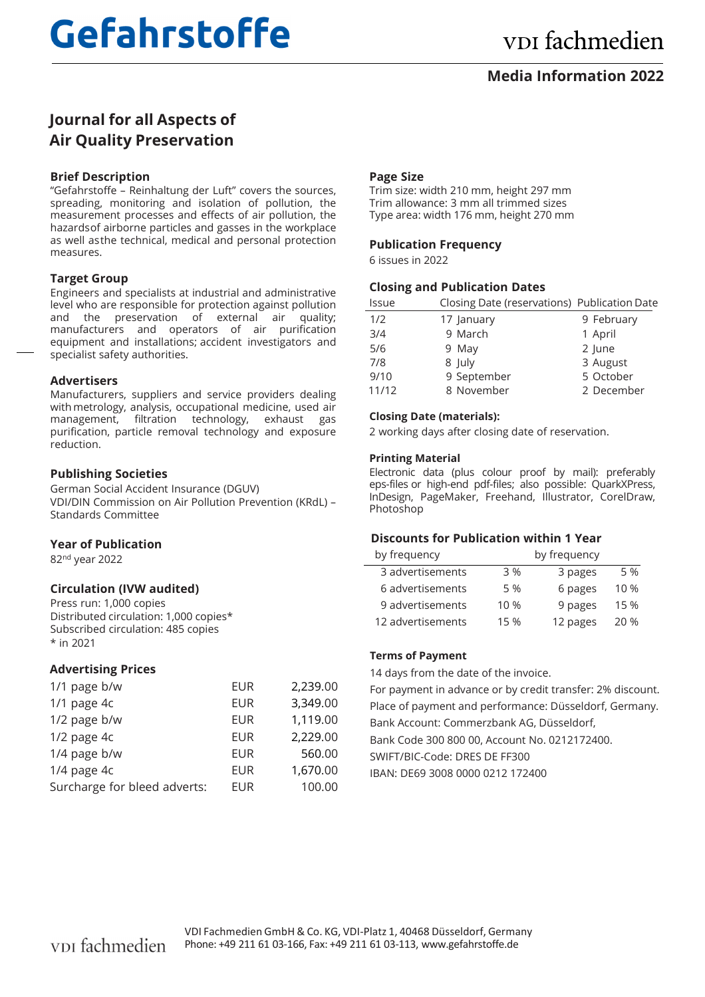# **Gefahrstoffe**

### **Media Information 2022**

## **Journal for all Aspects of Air Quality Preservation**

#### **Brief Description**

"Gefahrstoffe – Reinhaltung der Luft" covers the sources, spreading, monitoring and isolation of pollution, the measurement processes and effects of air pollution, the hazards of airborne particles and gasses in the workplace as well as the technical, medical and personal protection measures.

#### **Target Group**

Engineers and specialists at industrial and administrative level who are responsible for protection against pollution and the preservation of external air quality; manufacturers and operators of air purification equipment and installations; accident investigators and specialist safety authorities.

#### **Advertisers**

Manufacturers, suppliers and service providers dealing with metrology, analysis, occupational medicine, used air management, filtration technology, exhaust gas purification, particle removal technology and exposure reduction.

#### **Publishing Societies**

German Social Accident Insurance (DGUV) VDI/DIN Commission on Air Pollution Prevention (KRdL) – Standards Committee

#### **Year of Publication**

82nd year 2022

#### **Circulation (IVW audited)**

Press run: 1,000 copies Distributed circulation: 1,000 copies\* Subscribed circulation: 485 copies \* in 2021

#### **Advertising Prices**

| 1/1 page b/w                 | EUR        | 2,239.00 |
|------------------------------|------------|----------|
| 1/1 page 4c                  | EUR        | 3,349.00 |
| 1/2 page b/w                 | EUR        | 1,119.00 |
| $1/2$ page $4c$              | EUR        | 2,229.00 |
| 1/4 page b/w                 | <b>EUR</b> | 560.00   |
| 1/4 page 4c                  | <b>EUR</b> | 1,670.00 |
| Surcharge for bleed adverts: | <b>EUR</b> | 100.00   |

#### **Page Size**

Trim size: width 210 mm, height 297 mm Trim allowance: 3 mm all trimmed sizes Type area: width 176 mm, height 270 mm

#### **Publication Frequency**

6 issues in 2022

#### **Closing and Publication Dates**

| Issue |             | Closing Date (reservations) Publication Date |
|-------|-------------|----------------------------------------------|
| 1/2   | 17 January  | 9 February                                   |
| 3/4   | 9 March     | 1 April                                      |
| 5/6   | 9 May       | 2 June                                       |
| 7/8   | 8 July      | 3 August                                     |
| 9/10  | 9 September | 5 October                                    |
| 11/12 | 8 November  | 2 December                                   |

#### **Closing Date (materials):**

2 working days after closing date of reservation.

#### **Printing Material**

Electronic data (plus colour proof by mail): preferably eps-files or high-end pdf-files; also possible: QuarkXPress, InDesign, PageMaker, Freehand, Illustrator, CorelDraw, Photoshop

#### **Discounts for Publication within 1 Year**

| by frequency      | by frequency |          |      |
|-------------------|--------------|----------|------|
| 3 advertisements  | 3 %          | 3 pages  | 5 %  |
| 6 advertisements  | 5 %          | 6 pages  | 10 % |
| 9 advertisements  | 10 %         | 9 pages  | 15 % |
| 12 advertisements | 15 %         | 12 pages | 20 % |

#### **Terms of Payment**

14 days from the date of the invoice.

For payment in advance or by credit transfer: 2% discount. Place of payment and performance: Düsseldorf, Germany. Bank Account: Commerzbank AG, Düsseldorf, Bank Code 300 800 00, Account No. 0212172400. SWIFT/BIC-Code: DRES DE FF300 IBAN: DE69 3008 0000 0212 172400